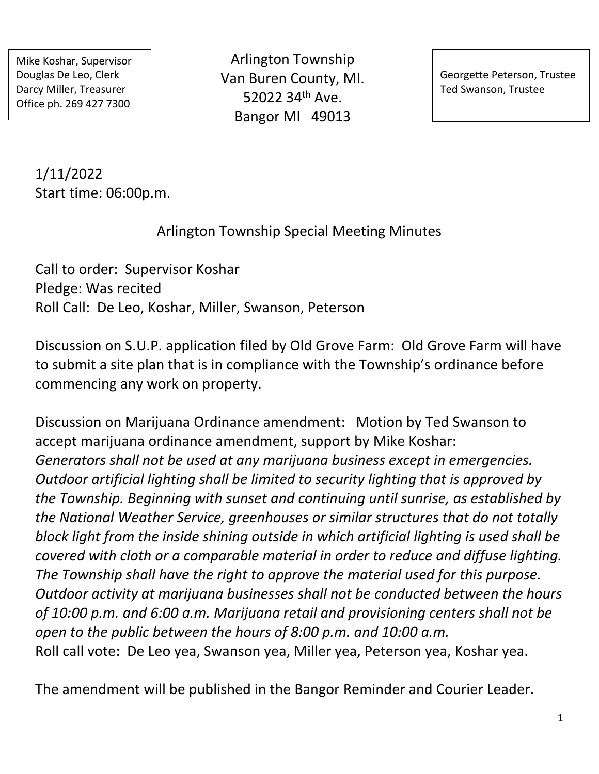Mike Koshar, Supervisor Douglas De Leo, Clerk Darcy Miller, Treasurer Office ph. 269 427 7300

Arlington Township Van Buren County, MI. 52022 34th Ave. Bangor MI 49013

Georgette Peterson, Trustee Ted Swanson, Trustee

1/11/2022 Start time: 06:00p.m.

Arlington Township Special Meeting Minutes

Call to order: Supervisor Koshar Pledge: Was recited Roll Call: De Leo, Koshar, Miller, Swanson, Peterson

Discussion on S.U.P. application filed by Old Grove Farm: Old Grove Farm will have to submit a site plan that is in compliance with the Township's ordinance before commencing any work on property.

Discussion on Marijuana Ordinance amendment: Motion by Ted Swanson to accept marijuana ordinance amendment, support by Mike Koshar: *Generators shall not be used at any marijuana business except in emergencies. Outdoor artificial lighting shall be limited to security lighting that is approved by the Township. Beginning with sunset and continuing until sunrise, as established by the National Weather Service, greenhouses or similar structures that do not totally block light from the inside shining outside in which artificial lighting is used shall be covered with cloth or a comparable material in order to reduce and diffuse lighting. The Township shall have the right to approve the material used for this purpose. Outdoor activity at marijuana businesses shall not be conducted between the hours of 10:00 p.m. and 6:00 a.m. Marijuana retail and provisioning centers shall not be open to the public between the hours of 8:00 p.m. and 10:00 a.m.* Roll call vote: De Leo yea, Swanson yea, Miller yea, Peterson yea, Koshar yea.

The amendment will be published in the Bangor Reminder and Courier Leader.